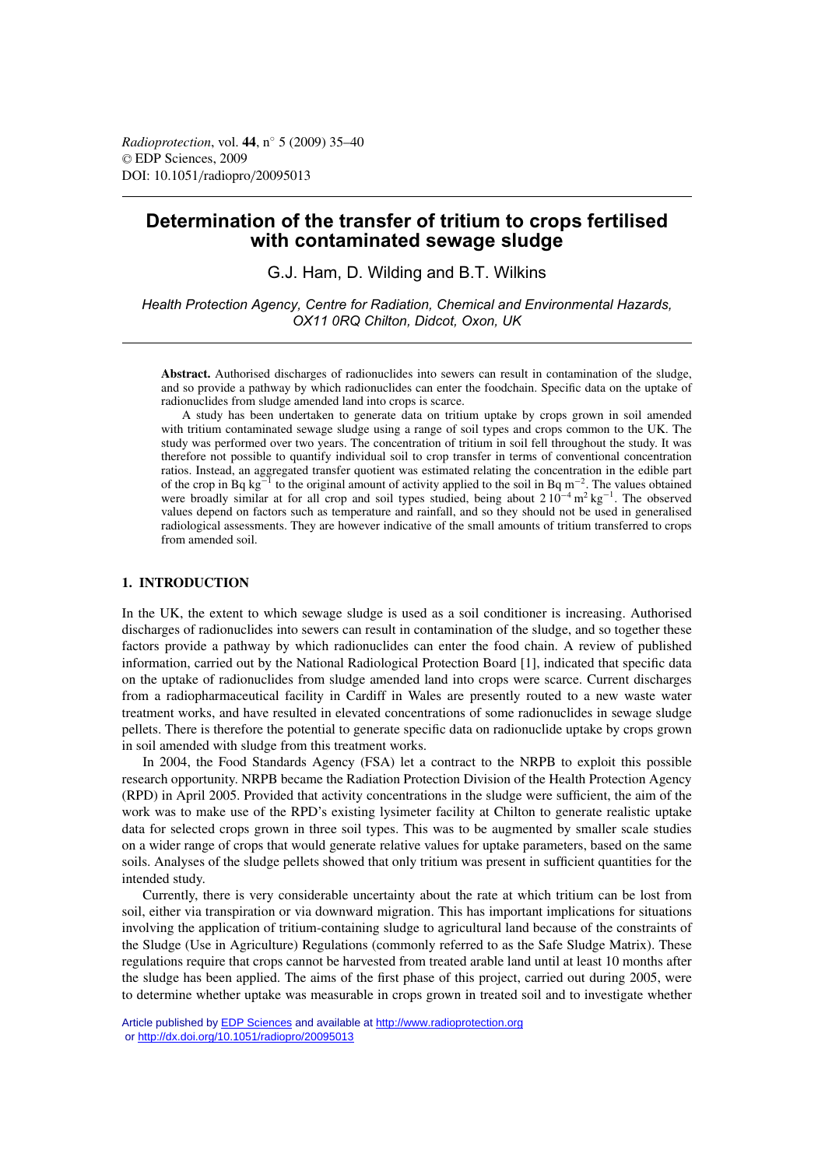# **Determination of the transfer of tritium to crops fertilised with contaminated sewage sludge**

G.J. Ham, D. Wilding and B.T. Wilkins

*Health Protection Agency, Centre for Radiation, Chemical and Environmental Hazards, OX11 0RQ Chilton, Didcot, Oxon, UK*

**Abstract.** Authorised discharges of radionuclides into sewers can result in contamination of the sludge, and so provide a pathway by which radionuclides can enter the foodchain. Specific data on the uptake of radionuclides from sludge amended land into crops is scarce.

A study has been undertaken to generate data on tritium uptake by crops grown in soil amended with tritium contaminated sewage sludge using a range of soil types and crops common to the UK. The study was performed over two years. The concentration of tritium in soil fell throughout the study. It was therefore not possible to quantify individual soil to crop transfer in terms of conventional concentration ratios. Instead, an aggregated transfer quotient was estimated relating the concentration in the edible part of the crop in Bq kg<sup> $-1$ </sup> to the original amount of activity applied to the soil in Bq m<sup>-2</sup>. The values obtained were broadly similar at for all crop and soil types studied, being about  $210^{-4}$  m<sup>2</sup> kg<sup>-1</sup>. The observed values depend on factors such as temperature and rainfall, and so they should not be used in generalised radiological assessments. They are however indicative of the small amounts of tritium transferred to crops from amended soil.

# **1. INTRODUCTION**

In the UK, the extent to which sewage sludge is used as a soil conditioner is increasing. Authorised discharges of radionuclides into sewers can result in contamination of the sludge, and so together these factors provide a pathway by which radionuclides can enter the food chain. A review of published information, carried out by the National Radiological Protection Board [1], indicated that specific data on the uptake of radionuclides from sludge amended land into crops were scarce. Current discharges from a radiopharmaceutical facility in Cardiff in Wales are presently routed to a new waste water treatment works, and have resulted in elevated concentrations of some radionuclides in sewage sludge pellets. There is therefore the potential to generate specific data on radionuclide uptake by crops grown in soil amended with sludge from this treatment works.

In 2004, the Food Standards Agency (FSA) let a contract to the NRPB to exploit this possible research opportunity. NRPB became the Radiation Protection Division of the Health Protection Agency (RPD) in April 2005. Provided that activity concentrations in the sludge were sufficient, the aim of the work was to make use of the RPD's existing lysimeter facility at Chilton to generate realistic uptake data for selected crops grown in three soil types. This was to be augmented by smaller scale studies on a wider range of crops that would generate relative values for uptake parameters, based on the same soils. Analyses of the sludge pellets showed that only tritium was present in sufficient quantities for the intended study.

Currently, there is very considerable uncertainty about the rate at which tritium can be lost from soil, either via transpiration or via downward migration. This has important implications for situations involving the application of tritium-containing sludge to agricultural land because of the constraints of the Sludge (Use in Agriculture) Regulations (commonly referred to as the Safe Sludge Matrix). These regulations require that crops cannot be harvested from treated arable land until at least 10 months after the sludge has been applied. The aims of the first phase of this project, carried out during 2005, were to determine whether uptake was measurable in crops grown in treated soil and to investigate whether

Article published by [EDP Sciences](http://www.edpsciences.org) and available at<http://www.radioprotection.org> or <http://dx.doi.org/10.1051/radiopro/20095013>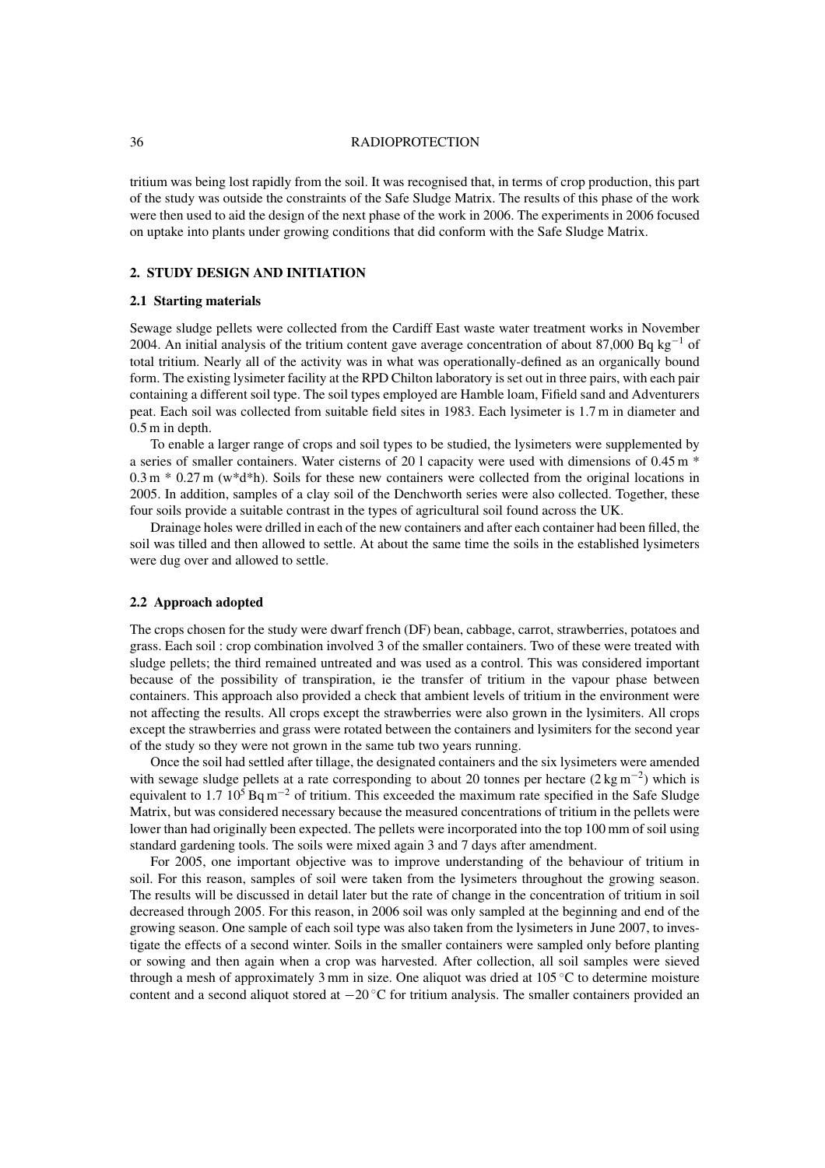## 36 RADIOPROTECTION

tritium was being lost rapidly from the soil. It was recognised that, in terms of crop production, this part of the study was outside the constraints of the Safe Sludge Matrix. The results of this phase of the work were then used to aid the design of the next phase of the work in 2006. The experiments in 2006 focused on uptake into plants under growing conditions that did conform with the Safe Sludge Matrix.

# **2. STUDY DESIGN AND INITIATION**

## **2.1 Starting materials**

Sewage sludge pellets were collected from the Cardiff East waste water treatment works in November 2004. An initial analysis of the tritium content gave average concentration of about 87,000 Bq kg<sup>-1</sup> of total tritium. Nearly all of the activity was in what was operationally-defined as an organically bound form. The existing lysimeter facility at the RPD Chilton laboratory is set out in three pairs, with each pair containing a different soil type. The soil types employed are Hamble loam, Fifield sand and Adventurers peat. Each soil was collected from suitable field sites in 1983. Each lysimeter is 1.7 m in diameter and 0.5 m in depth.

To enable a larger range of crops and soil types to be studied, the lysimeters were supplemented by a series of smaller containers. Water cisterns of 20 l capacity were used with dimensions of 0.45 m \*  $0.3$  m  $*$  0.27 m (w $*$ d $*$ h). Soils for these new containers were collected from the original locations in 2005. In addition, samples of a clay soil of the Denchworth series were also collected. Together, these four soils provide a suitable contrast in the types of agricultural soil found across the UK.

Drainage holes were drilled in each of the new containers and after each container had been filled, the soil was tilled and then allowed to settle. At about the same time the soils in the established lysimeters were dug over and allowed to settle.

## **2.2 Approach adopted**

The crops chosen for the study were dwarf french (DF) bean, cabbage, carrot, strawberries, potatoes and grass. Each soil : crop combination involved 3 of the smaller containers. Two of these were treated with sludge pellets; the third remained untreated and was used as a control. This was considered important because of the possibility of transpiration, ie the transfer of tritium in the vapour phase between containers. This approach also provided a check that ambient levels of tritium in the environment were not affecting the results. All crops except the strawberries were also grown in the lysimiters. All crops except the strawberries and grass were rotated between the containers and lysimiters for the second year of the study so they were not grown in the same tub two years running.

Once the soil had settled after tillage, the designated containers and the six lysimeters were amended with sewage sludge pellets at a rate corresponding to about 20 tonnes per hectare  $(2 \text{ kg m}^{-2})$  which is equivalent to 1.7 10<sup>5</sup> Bq m<sup>-2</sup> of tritium. This exceeded the maximum rate specified in the Safe Sludge Matrix, but was considered necessary because the measured concentrations of tritium in the pellets were lower than had originally been expected. The pellets were incorporated into the top 100 mm of soil using standard gardening tools. The soils were mixed again 3 and 7 days after amendment.

For 2005, one important objective was to improve understanding of the behaviour of tritium in soil. For this reason, samples of soil were taken from the lysimeters throughout the growing season. The results will be discussed in detail later but the rate of change in the concentration of tritium in soil decreased through 2005. For this reason, in 2006 soil was only sampled at the beginning and end of the growing season. One sample of each soil type was also taken from the lysimeters in June 2007, to investigate the effects of a second winter. Soils in the smaller containers were sampled only before planting or sowing and then again when a crop was harvested. After collection, all soil samples were sieved through a mesh of approximately 3 mm in size. One aliquot was dried at 105 ◦C to determine moisture content and a second aliquot stored at −20 ◦C for tritium analysis. The smaller containers provided an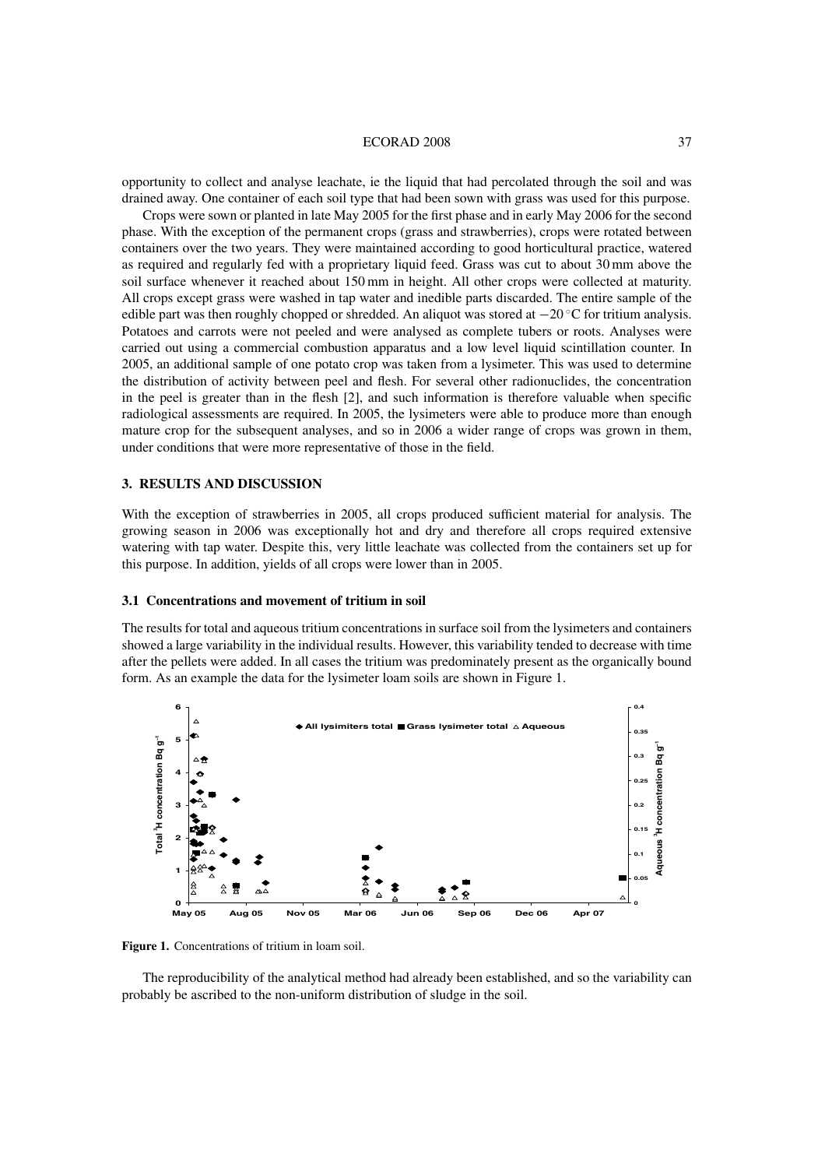#### ECORAD 2008 37

opportunity to collect and analyse leachate, ie the liquid that had percolated through the soil and was drained away. One container of each soil type that had been sown with grass was used for this purpose.

Crops were sown or planted in late May 2005 for the first phase and in early May 2006 for the second phase. With the exception of the permanent crops (grass and strawberries), crops were rotated between containers over the two years. They were maintained according to good horticultural practice, watered as required and regularly fed with a proprietary liquid feed. Grass was cut to about 30 mm above the soil surface whenever it reached about 150 mm in height. All other crops were collected at maturity. All crops except grass were washed in tap water and inedible parts discarded. The entire sample of the edible part was then roughly chopped or shredded. An aliquot was stored at  $-20$  °C for tritium analysis. Potatoes and carrots were not peeled and were analysed as complete tubers or roots. Analyses were carried out using a commercial combustion apparatus and a low level liquid scintillation counter. In 2005, an additional sample of one potato crop was taken from a lysimeter. This was used to determine the distribution of activity between peel and flesh. For several other radionuclides, the concentration in the peel is greater than in the flesh [2], and such information is therefore valuable when specific radiological assessments are required. In 2005, the lysimeters were able to produce more than enough mature crop for the subsequent analyses, and so in 2006 a wider range of crops was grown in them, under conditions that were more representative of those in the field.

## **3. RESULTS AND DISCUSSION**

With the exception of strawberries in 2005, all crops produced sufficient material for analysis. The growing season in 2006 was exceptionally hot and dry and therefore all crops required extensive watering with tap water. Despite this, very little leachate was collected from the containers set up for this purpose. In addition, yields of all crops were lower than in 2005.

## **3.1 Concentrations and movement of tritium in soil**

The results for total and aqueous tritium concentrations in surface soil from the lysimeters and containers showed a large variability in the individual results. However, this variability tended to decrease with time after the pellets were added. In all cases the tritium was predominately present as the organically bound form. As an example the data for the lysimeter loam soils are shown in Figure 1.



Figure 1. Concentrations of tritium in loam soil.

The reproducibility of the analytical method had already been established, and so the variability can probably be ascribed to the non-uniform distribution of sludge in the soil.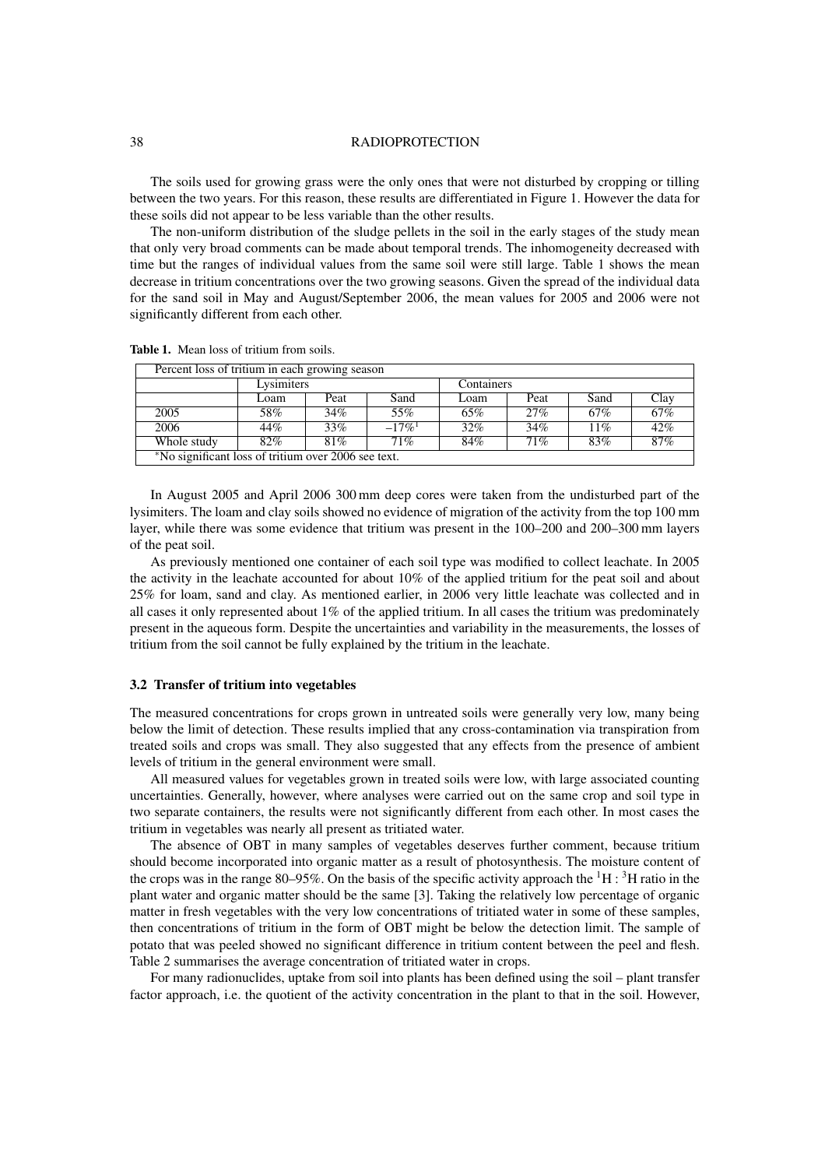#### 38 RADIOPROTECTION

The soils used for growing grass were the only ones that were not disturbed by cropping or tilling between the two years. For this reason, these results are differentiated in Figure 1. However the data for these soils did not appear to be less variable than the other results.

The non-uniform distribution of the sludge pellets in the soil in the early stages of the study mean that only very broad comments can be made about temporal trends. The inhomogeneity decreased with time but the ranges of individual values from the same soil were still large. Table 1 shows the mean decrease in tritium concentrations over the two growing seasons. Given the spread of the individual data for the sand soil in May and August/September 2006, the mean values for 2005 and 2006 were not significantly different from each other.

| Percent loss of tritium in each growing season      |            |      |                      |            |      |      |        |  |  |  |  |  |
|-----------------------------------------------------|------------|------|----------------------|------------|------|------|--------|--|--|--|--|--|
|                                                     | Lysimiters |      |                      | Containers |      |      |        |  |  |  |  |  |
|                                                     | Loam       | Peat | Sand                 | Loam       | Peat | Sand | Clay   |  |  |  |  |  |
| 2005                                                | 58%        | 34%  | 55%                  | 65%        | 27%  | 67%  | 67%    |  |  |  |  |  |
| 2006                                                | 44%        | 33%  | $-17\%$ <sup>1</sup> | $32\%$     | 34%  | 11%  | 42%    |  |  |  |  |  |
| Whole study                                         | 82%        | 81%  | 71%                  | 84%        | 71%  | 83%  | $87\%$ |  |  |  |  |  |
| *No significant loss of tritium over 2006 see text. |            |      |                      |            |      |      |        |  |  |  |  |  |

**Table 1.** Mean loss of tritium from soils.

In August 2005 and April 2006 300 mm deep cores were taken from the undisturbed part of the lysimiters. The loam and clay soils showed no evidence of migration of the activity from the top 100 mm layer, while there was some evidence that tritium was present in the 100–200 and 200–300 mm layers of the peat soil.

As previously mentioned one container of each soil type was modified to collect leachate. In 2005 the activity in the leachate accounted for about 10% of the applied tritium for the peat soil and about 25% for loam, sand and clay. As mentioned earlier, in 2006 very little leachate was collected and in all cases it only represented about 1% of the applied tritium. In all cases the tritium was predominately present in the aqueous form. Despite the uncertainties and variability in the measurements, the losses of tritium from the soil cannot be fully explained by the tritium in the leachate.

## **3.2 Transfer of tritium into vegetables**

The measured concentrations for crops grown in untreated soils were generally very low, many being below the limit of detection. These results implied that any cross-contamination via transpiration from treated soils and crops was small. They also suggested that any effects from the presence of ambient levels of tritium in the general environment were small.

All measured values for vegetables grown in treated soils were low, with large associated counting uncertainties. Generally, however, where analyses were carried out on the same crop and soil type in two separate containers, the results were not significantly different from each other. In most cases the tritium in vegetables was nearly all present as tritiated water.

The absence of OBT in many samples of vegetables deserves further comment, because tritium should become incorporated into organic matter as a result of photosynthesis. The moisture content of the crops was in the range 80–95%. On the basis of the specific activity approach the  ${}^{1}H$  :  ${}^{3}H$  ratio in the plant water and organic matter should be the same [3]. Taking the relatively low percentage of organic matter in fresh vegetables with the very low concentrations of tritiated water in some of these samples, then concentrations of tritium in the form of OBT might be below the detection limit. The sample of potato that was peeled showed no significant difference in tritium content between the peel and flesh. Table 2 summarises the average concentration of tritiated water in crops.

For many radionuclides, uptake from soil into plants has been defined using the soil – plant transfer factor approach, i.e. the quotient of the activity concentration in the plant to that in the soil. However,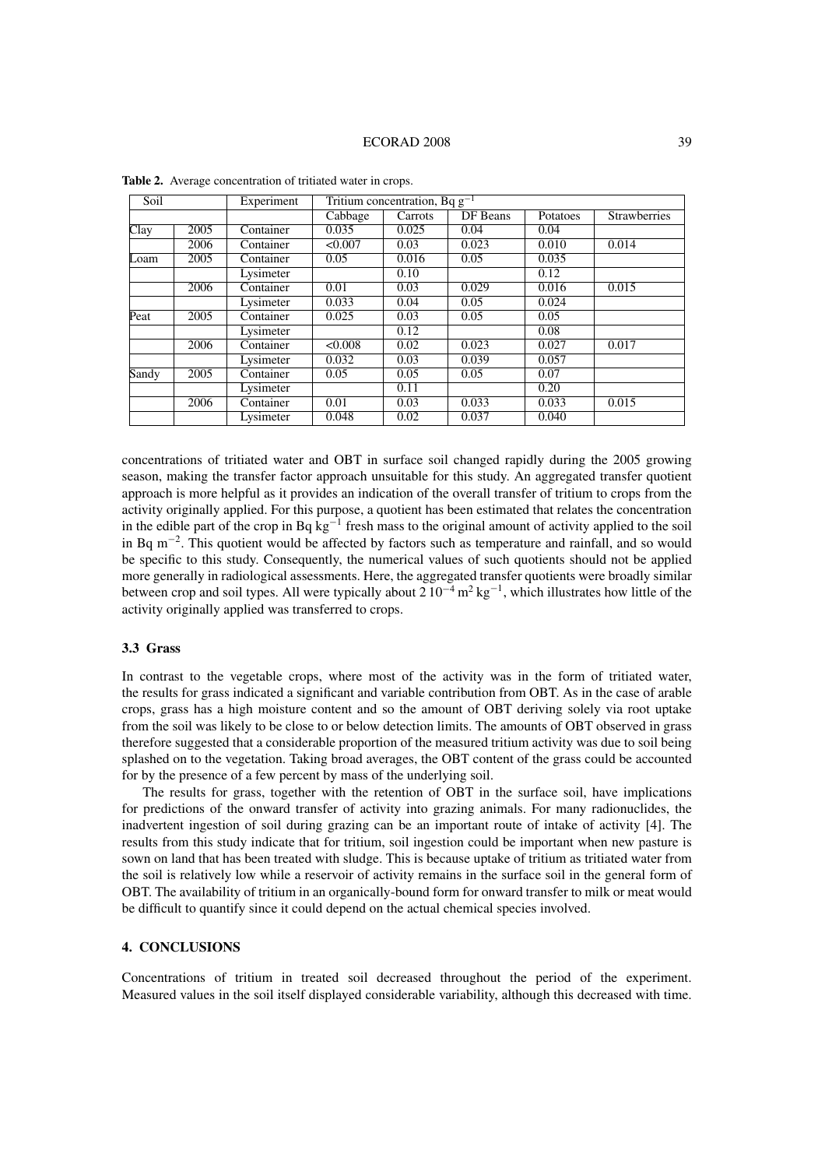| Soil  |      | Experiment | Tritium concentration, Bq $g^{-1}$ |         |          |          |                     |  |  |
|-------|------|------------|------------------------------------|---------|----------|----------|---------------------|--|--|
|       |      |            | Cabbage                            | Carrots | DF Beans | Potatoes | <b>Strawberries</b> |  |  |
| Clay  | 2005 | Container  | 0.035                              | 0.025   | 0.04     | 0.04     |                     |  |  |
|       | 2006 | Container  | < 0.007                            | 0.03    | 0.023    | 0.010    | 0.014               |  |  |
| Loam  | 2005 | Container  | 0.05                               | 0.016   | 0.05     | 0.035    |                     |  |  |
|       |      | Lysimeter  |                                    | 0.10    |          | 0.12     |                     |  |  |
|       | 2006 | Container  | 0.01                               | 0.03    | 0.029    | 0.016    | 0.015               |  |  |
|       |      | Lysimeter  | 0.033                              | 0.04    | 0.05     | 0.024    |                     |  |  |
| Peat  | 2005 | Container  | 0.025                              | 0.03    | 0.05     | 0.05     |                     |  |  |
|       |      | Lysimeter  |                                    | 0.12    |          | 0.08     |                     |  |  |
|       | 2006 | Container  | < 0.008                            | 0.02    | 0.023    | 0.027    | 0.017               |  |  |
|       |      | Lysimeter  | 0.032                              | 0.03    | 0.039    | 0.057    |                     |  |  |
| Sandy | 2005 | Container  | 0.05                               | 0.05    | 0.05     | 0.07     |                     |  |  |
|       |      | Lysimeter  |                                    | 0.11    |          | 0.20     |                     |  |  |
|       | 2006 | Container  | 0.01                               | 0.03    | 0.033    | 0.033    | 0.015               |  |  |
|       |      | Lysimeter  | 0.048                              | 0.02    | 0.037    | 0.040    |                     |  |  |

**Table 2.** Average concentration of tritiated water in crops.

concentrations of tritiated water and OBT in surface soil changed rapidly during the 2005 growing season, making the transfer factor approach unsuitable for this study. An aggregated transfer quotient approach is more helpful as it provides an indication of the overall transfer of tritium to crops from the activity originally applied. For this purpose, a quotient has been estimated that relates the concentration in the edible part of the crop in Bq  $kg^{-1}$  fresh mass to the original amount of activity applied to the soil in Bq m−2. This quotient would be affected by factors such as temperature and rainfall, and so would be specific to this study. Consequently, the numerical values of such quotients should not be applied more generally in radiological assessments. Here, the aggregated transfer quotients were broadly similar between crop and soil types. All were typically about  $2.10^{-4}$  m<sup>2</sup> kg<sup>-1</sup>, which illustrates how little of the activity originally applied was transferred to crops.

## **3.3 Grass**

In contrast to the vegetable crops, where most of the activity was in the form of tritiated water, the results for grass indicated a significant and variable contribution from OBT. As in the case of arable crops, grass has a high moisture content and so the amount of OBT deriving solely via root uptake from the soil was likely to be close to or below detection limits. The amounts of OBT observed in grass therefore suggested that a considerable proportion of the measured tritium activity was due to soil being splashed on to the vegetation. Taking broad averages, the OBT content of the grass could be accounted for by the presence of a few percent by mass of the underlying soil.

The results for grass, together with the retention of OBT in the surface soil, have implications for predictions of the onward transfer of activity into grazing animals. For many radionuclides, the inadvertent ingestion of soil during grazing can be an important route of intake of activity [4]. The results from this study indicate that for tritium, soil ingestion could be important when new pasture is sown on land that has been treated with sludge. This is because uptake of tritium as tritiated water from the soil is relatively low while a reservoir of activity remains in the surface soil in the general form of OBT. The availability of tritium in an organically-bound form for onward transfer to milk or meat would be difficult to quantify since it could depend on the actual chemical species involved.

# **4. CONCLUSIONS**

Concentrations of tritium in treated soil decreased throughout the period of the experiment. Measured values in the soil itself displayed considerable variability, although this decreased with time.